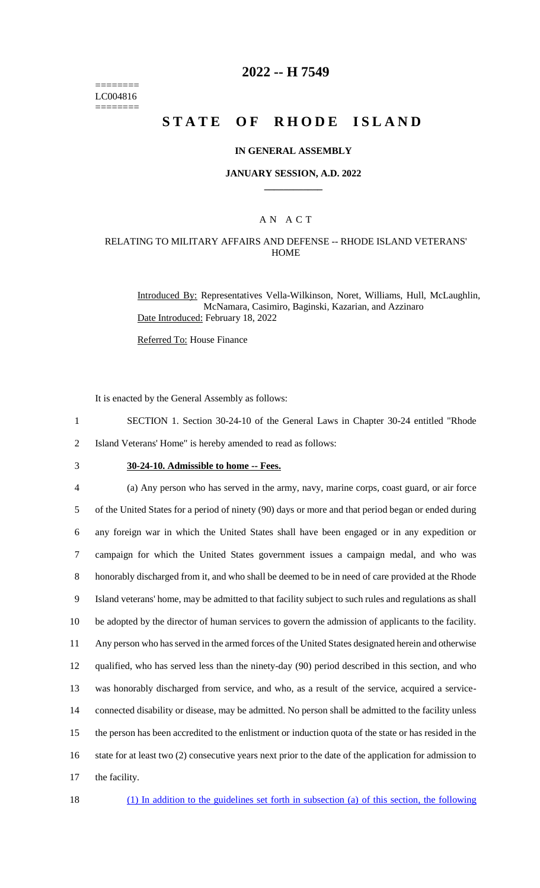======== LC004816 ========

## **2022 -- H 7549**

# **STATE OF RHODE ISLAND**

### **IN GENERAL ASSEMBLY**

### **JANUARY SESSION, A.D. 2022 \_\_\_\_\_\_\_\_\_\_\_\_**

### A N A C T

### RELATING TO MILITARY AFFAIRS AND DEFENSE -- RHODE ISLAND VETERANS' **HOME**

Introduced By: Representatives Vella-Wilkinson, Noret, Williams, Hull, McLaughlin, McNamara, Casimiro, Baginski, Kazarian, and Azzinaro Date Introduced: February 18, 2022

Referred To: House Finance

It is enacted by the General Assembly as follows:

- 1 SECTION 1. Section 30-24-10 of the General Laws in Chapter 30-24 entitled "Rhode
- 2 Island Veterans' Home" is hereby amended to read as follows:
- 

# 3 **30-24-10. Admissible to home -- Fees.**

 (a) Any person who has served in the army, navy, marine corps, coast guard, or air force of the United States for a period of ninety (90) days or more and that period began or ended during any foreign war in which the United States shall have been engaged or in any expedition or campaign for which the United States government issues a campaign medal, and who was honorably discharged from it, and who shall be deemed to be in need of care provided at the Rhode Island veterans' home, may be admitted to that facility subject to such rules and regulations as shall be adopted by the director of human services to govern the admission of applicants to the facility. Any person who has served in the armed forces of the United States designated herein and otherwise qualified, who has served less than the ninety-day (90) period described in this section, and who was honorably discharged from service, and who, as a result of the service, acquired a service- connected disability or disease, may be admitted. No person shall be admitted to the facility unless the person has been accredited to the enlistment or induction quota of the state or has resided in the 16 state for at least two (2) consecutive years next prior to the date of the application for admission to the facility.

18 (1) In addition to the guidelines set forth in subsection (a) of this section, the following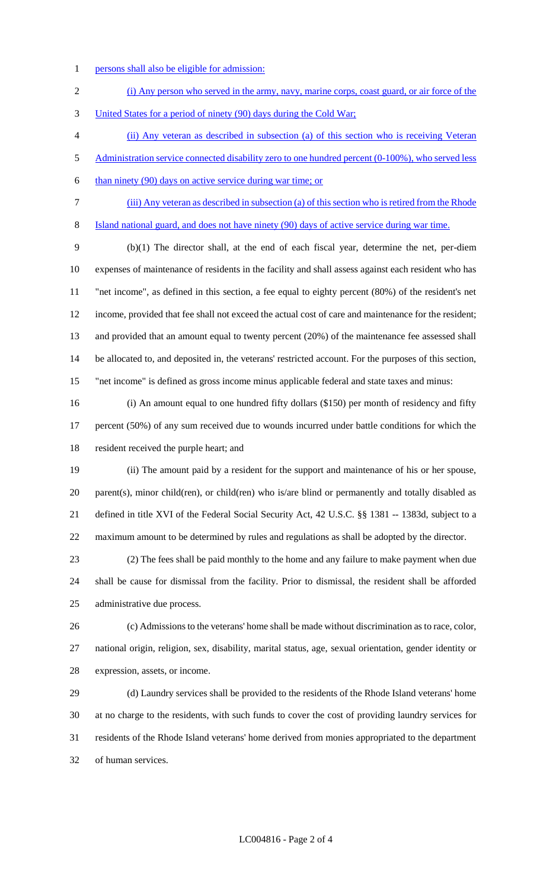- 1 persons shall also be eligible for admission:
- (i) Any person who served in the army, navy, marine corps, coast guard, or air force of the United States for a period of ninety (90) days during the Cold War;
- (ii) Any veteran as described in subsection (a) of this section who is receiving Veteran 5 Administration service connected disability zero to one hundred percent (0-100%), who served less
- than ninety (90) days on active service during war time; or
- (iii) Any veteran as described in subsection (a) of this section who is retired from the Rhode
- Island national guard, and does not have ninety (90) days of active service during war time.

 (b)(1) The director shall, at the end of each fiscal year, determine the net, per-diem expenses of maintenance of residents in the facility and shall assess against each resident who has "net income", as defined in this section, a fee equal to eighty percent (80%) of the resident's net income, provided that fee shall not exceed the actual cost of care and maintenance for the resident; and provided that an amount equal to twenty percent (20%) of the maintenance fee assessed shall be allocated to, and deposited in, the veterans' restricted account. For the purposes of this section, "net income" is defined as gross income minus applicable federal and state taxes and minus:

 (i) An amount equal to one hundred fifty dollars (\$150) per month of residency and fifty 17 percent (50%) of any sum received due to wounds incurred under battle conditions for which the resident received the purple heart; and

 (ii) The amount paid by a resident for the support and maintenance of his or her spouse, 20 parent(s), minor child(ren), or child(ren) who is/are blind or permanently and totally disabled as defined in title XVI of the Federal Social Security Act, 42 U.S.C. §§ 1381 -- 1383d, subject to a maximum amount to be determined by rules and regulations as shall be adopted by the director.

 (2) The fees shall be paid monthly to the home and any failure to make payment when due shall be cause for dismissal from the facility. Prior to dismissal, the resident shall be afforded administrative due process.

 (c) Admissions to the veterans' home shall be made without discrimination as to race, color, national origin, religion, sex, disability, marital status, age, sexual orientation, gender identity or expression, assets, or income.

 (d) Laundry services shall be provided to the residents of the Rhode Island veterans' home at no charge to the residents, with such funds to cover the cost of providing laundry services for residents of the Rhode Island veterans' home derived from monies appropriated to the department of human services.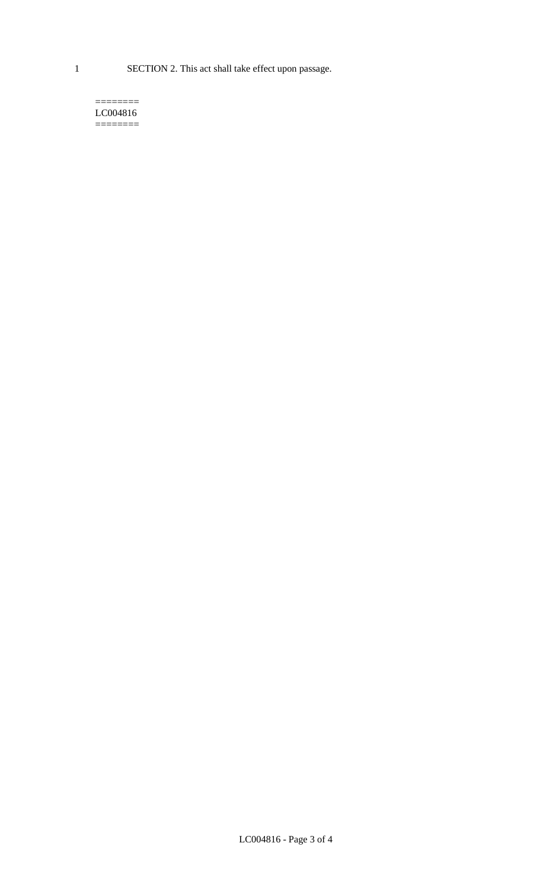1 SECTION 2. This act shall take effect upon passage.

#### $=$ LC004816  $=$

LC004816 - Page 3 of 4